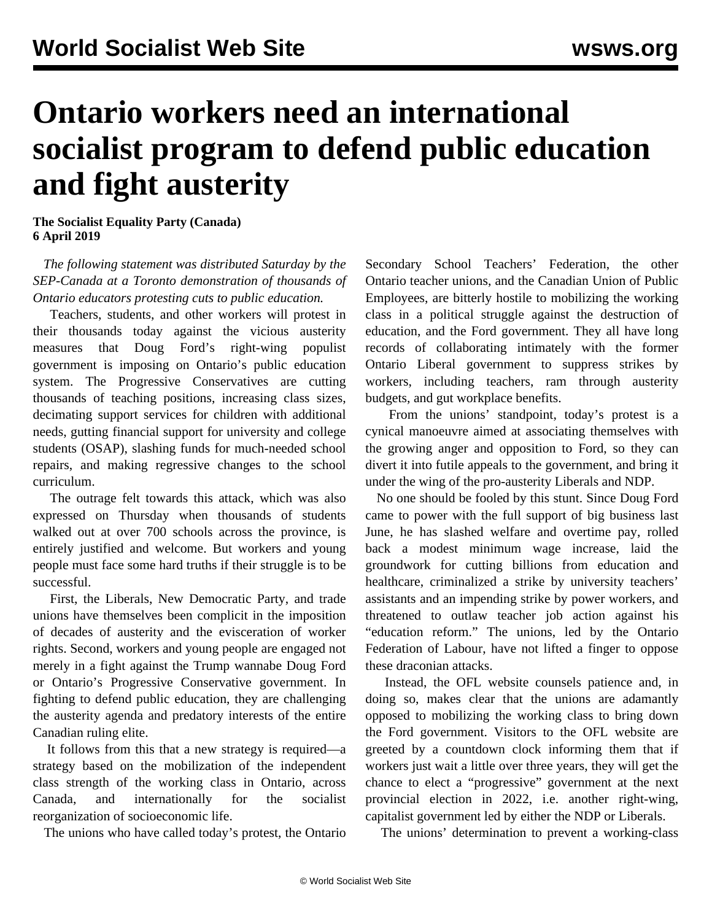## **Ontario workers need an international socialist program to defend public education and fight austerity**

**The Socialist Equality Party (Canada) 6 April 2019**

 *The following statement was distributed Saturday by the SEP-Canada at a Toronto demonstration of thousands of Ontario educators protesting cuts to public education.*

 Teachers, students, and other workers will protest in their thousands today against the vicious austerity measures that Doug Ford's right-wing populist government is imposing on Ontario's public education system. The Progressive Conservatives are cutting thousands of teaching positions, increasing class sizes, decimating support services for children with additional needs, gutting financial support for university and college students (OSAP), slashing funds for much-needed school repairs, and making regressive changes to the school curriculum.

 The outrage felt towards this attack, which was also expressed on Thursday when thousands of students walked out at over 700 schools across the province, is entirely justified and welcome. But workers and young people must face some hard truths if their struggle is to be successful.

 First, the Liberals, New Democratic Party, and trade unions have themselves been complicit in the imposition of decades of austerity and the evisceration of worker rights. Second, workers and young people are engaged not merely in a fight against the Trump wannabe Doug Ford or Ontario's Progressive Conservative government. In fighting to defend public education, they are challenging the austerity agenda and predatory interests of the entire Canadian ruling elite.

 It follows from this that a new strategy is required—a strategy based on the mobilization of the independent class strength of the working class in Ontario, across Canada, and internationally for the socialist reorganization of socioeconomic life.

The unions who have called today's protest, the Ontario

Secondary School Teachers' Federation, the other Ontario teacher unions, and the Canadian Union of Public Employees, are bitterly hostile to mobilizing the working class in a political struggle against the destruction of education, and the Ford government. They all have long records of collaborating intimately with the former Ontario Liberal government to suppress strikes by workers, including teachers, ram through austerity budgets, and gut workplace benefits.

 From the unions' standpoint, today's protest is a cynical manoeuvre aimed at associating themselves with the growing anger and opposition to Ford, so they can divert it into futile appeals to the government, and bring it under the wing of the pro-austerity Liberals and NDP.

 No one should be fooled by this stunt. Since Doug Ford came to power with the full support of big business last June, he has slashed welfare and overtime pay, rolled back a modest minimum wage increase, laid the groundwork for cutting billions from education and healthcare, criminalized a strike by university teachers' assistants and an impending strike by power workers, and threatened to outlaw teacher job action against his "education reform." The unions, led by the Ontario Federation of Labour, have not lifted a finger to oppose these draconian attacks.

 Instead, the OFL website counsels patience and, in doing so, makes clear that the unions are adamantly opposed to mobilizing the working class to bring down the Ford government. Visitors to the OFL website are greeted by a countdown clock informing them that if workers just wait a little over three years, they will get the chance to elect a "progressive" government at the next provincial election in 2022, i.e. another right-wing, capitalist government led by either the NDP or Liberals.

The unions' determination to prevent a working-class